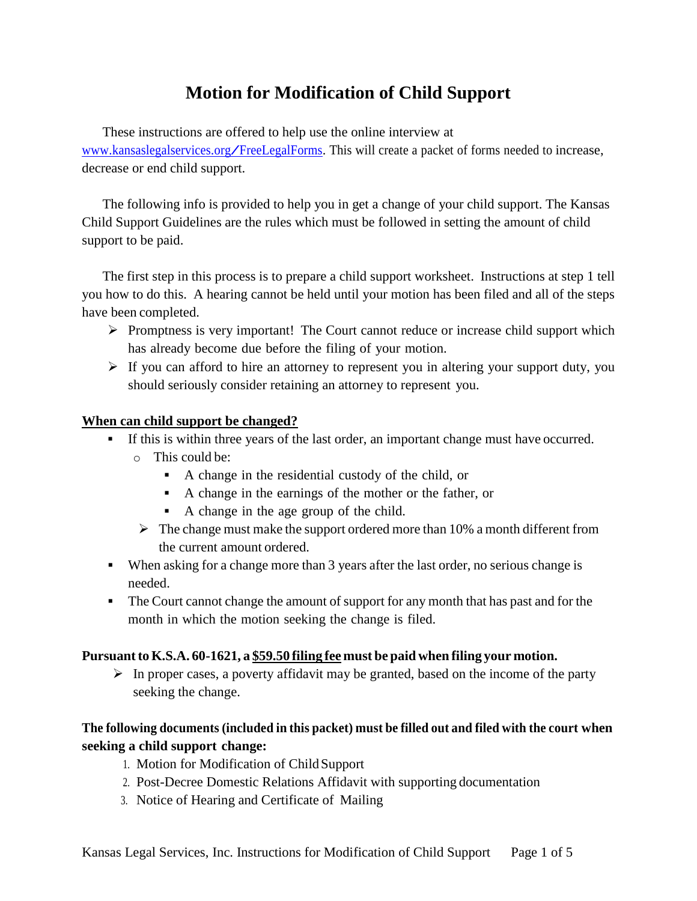# **Motion for Modification of Child Support**

These instructions are offered to help use the online interview at [www.kansaslegalservices.org/FreeLegalForms.](http://www.kansaslegalservices.org/FreeLegalForms) This will create <sup>a</sup> packet of forms needed to increase, decrease or end child support.

The following info is provided to help you in get a change of your child support. The Kansas Child Support Guidelines are the rules which must be followed in setting the amount of child support to be paid.

The first step in this process is to prepare a child support worksheet. Instructions at step 1 tell you how to do this. A hearing cannot be held until your motion has been filed and all of the steps have been completed.

- $\triangleright$  Promptness is very important! The Court cannot reduce or increase child support which has already become due before the filing of your motion.
- $\triangleright$  If you can afford to hire an attorney to represent you in altering your support duty, you should seriously consider retaining an attorney to represent you.

## **When can child support be changed?**

- If this is within three years of the last order, an important change must have occurred.
	- o This could be:
		- A change in the residential custody of the child, or
		- A change in the earnings of the mother or the father, or
		- A change in the age group of the child.
	- $\triangleright$  The change must make the support ordered more than 10% a month different from the current amount ordered.
- When asking for a change more than 3 years after the last order, no serious change is needed.
- The Court cannot change the amount of support for any month that has past and for the month in which the motion seeking the change is filed.

### **Pursuantto K.S.A. 60-1621, a \$59.50 filing fee must be paid when filing your motion.**

 $\triangleright$  In proper cases, a poverty affidavit may be granted, based on the income of the party seeking the change.

## **The following documents (included in this packet) must be filled out and filed with the court when seeking a child support change:**

- 1. Motion for Modification of ChildSupport
- 2. Post-Decree Domestic Relations Affidavit with supporting documentation
- 3. Notice of Hearing and Certificate of Mailing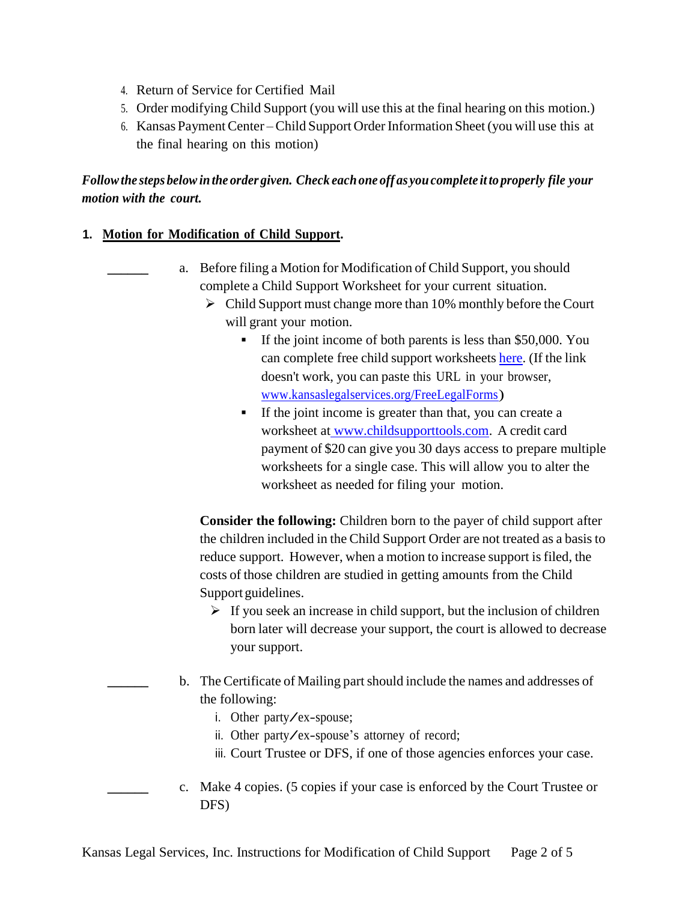- 4. Return of Service for Certified Mail
- 5. Order modifying Child Support (you will use this at the final hearing on this motion.)
- 6. Kansas PaymentCenter Child Support OrderInformation Sheet(you will use this at the final hearing on this motion)

## *Followthe steps belowinthe order given. Check eachone off as youcomplete it to properly file your motion with the court.*

#### **1. Motion for Modification of Child Support.**

- **\_\_\_\_\_\_** a. Before filing a Motion for Modification of Child Support, you should complete a Child Support Worksheet for your current situation.
	- $\triangleright$  Child Support must change more than 10% monthly before the Court will grant your motion.
		- If the joint income of both parents is less than \$50,000. You can complete free child support worksheets [here.](https://lawhelpinteractive.org/Interview/InterviewHome?templateId=2098) (If the link doesn't work, you can paste this URL in your browser, [www.kansaslegalservices.org/FreeLegalForms\)](http://www.kansaslegalservices.org/FreeLegaForms)
		- If the joint income is greater than that, you can create a worksheet at [www.childsupporttools.com.](https://childsupporttools.com/for-parents/) A credit card payment of \$20 can give you 30 days access to prepare multiple worksheets for a single case. This will allow you to alter the worksheet as needed for filing your motion.

**Consider the following:** Children born to the payer of child support after the children included in the Child Support Order are not treated as a basisto reduce support. However, when a motion to increase support is filed, the costs of those children are studied in getting amounts from the Child Support guidelines.

- $\triangleright$  If you seek an increase in child support, but the inclusion of children born later will decrease your support, the court is allowed to decrease your support.
- **\_\_\_\_\_\_** b. The Certificate of Mailing partshould include the names and addresses of the following:
	- i. Other party/ex-spouse;
	- ii. Other party/ex-spouse's attorney of record;
	- iii. Court Trustee or DFS, if one of those agencies enforces your case.
- **\_\_\_\_\_\_** c. Make 4 copies. (5 copies if your case is enforced by the Court Trustee or DFS)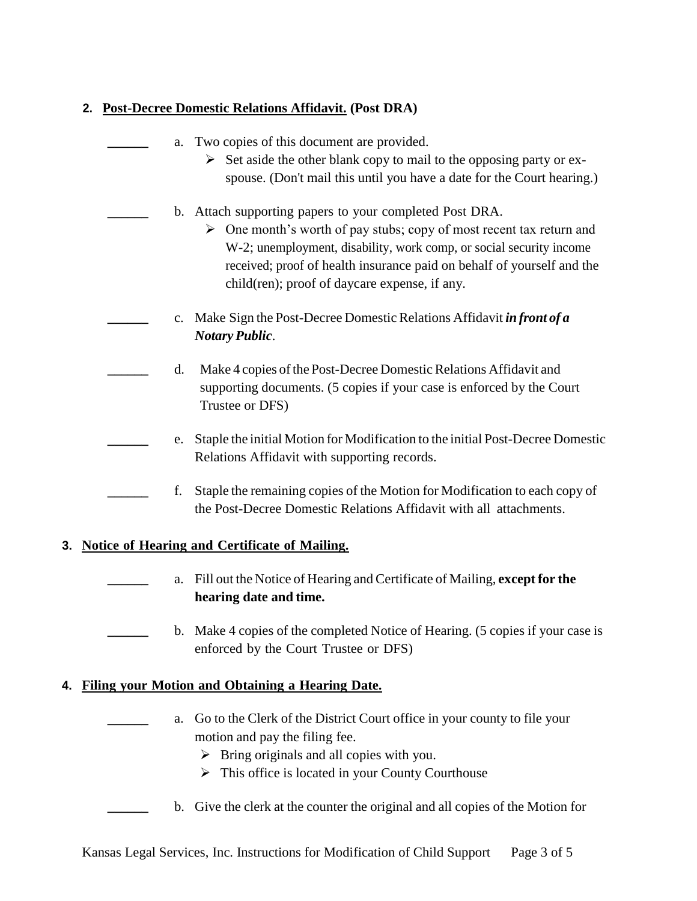## **2. Post-Decree Domestic Relations Affidavit. (Post DRA)**

|    |    | a. Two copies of this document are provided.<br>Set aside the other blank copy to mail to the opposing party or ex-<br>spouse. (Don't mail this until you have a date for the Court hearing.)                                                                                                                                        |
|----|----|--------------------------------------------------------------------------------------------------------------------------------------------------------------------------------------------------------------------------------------------------------------------------------------------------------------------------------------|
|    |    | b. Attach supporting papers to your completed Post DRA.<br>One month's worth of pay stubs; copy of most recent tax return and<br>➤<br>W-2; unemployment, disability, work comp, or social security income<br>received; proof of health insurance paid on behalf of yourself and the<br>child(ren); proof of daycare expense, if any. |
|    |    | c. Make Sign the Post-Decree Domestic Relations Affidavit in front of a<br><b>Notary Public.</b>                                                                                                                                                                                                                                     |
|    | d. | Make 4 copies of the Post-Decree Domestic Relations Affidavit and<br>supporting documents. (5 copies if your case is enforced by the Court<br>Trustee or DFS)                                                                                                                                                                        |
|    | e. | Staple the initial Motion for Modification to the initial Post-Decree Domestic<br>Relations Affidavit with supporting records.                                                                                                                                                                                                       |
|    | f. | Staple the remaining copies of the Motion for Modification to each copy of<br>the Post-Decree Domestic Relations Affidavit with all attachments.                                                                                                                                                                                     |
| 3. |    | <b>Notice of Hearing and Certificate of Mailing.</b>                                                                                                                                                                                                                                                                                 |
|    | a. | Fill out the Notice of Hearing and Certificate of Mailing, except for the<br>hearing date and time.                                                                                                                                                                                                                                  |
|    | b. | Make 4 copies of the completed Notice of Hearing. (5 copies if your case is<br>enforced by the Court Trustee or DFS)                                                                                                                                                                                                                 |
| 4. |    | <b>Filing your Motion and Obtaining a Hearing Date.</b>                                                                                                                                                                                                                                                                              |
|    | a. | Go to the Clerk of the District Court office in your county to file your<br>motion and pay the filing fee.<br>$\triangleright$ Bring originals and all copies with you.<br>$\triangleright$ This office is located in your County Courthouse                                                                                         |
|    |    | b. Give the clerk at the counter the original and all copies of the Motion for                                                                                                                                                                                                                                                       |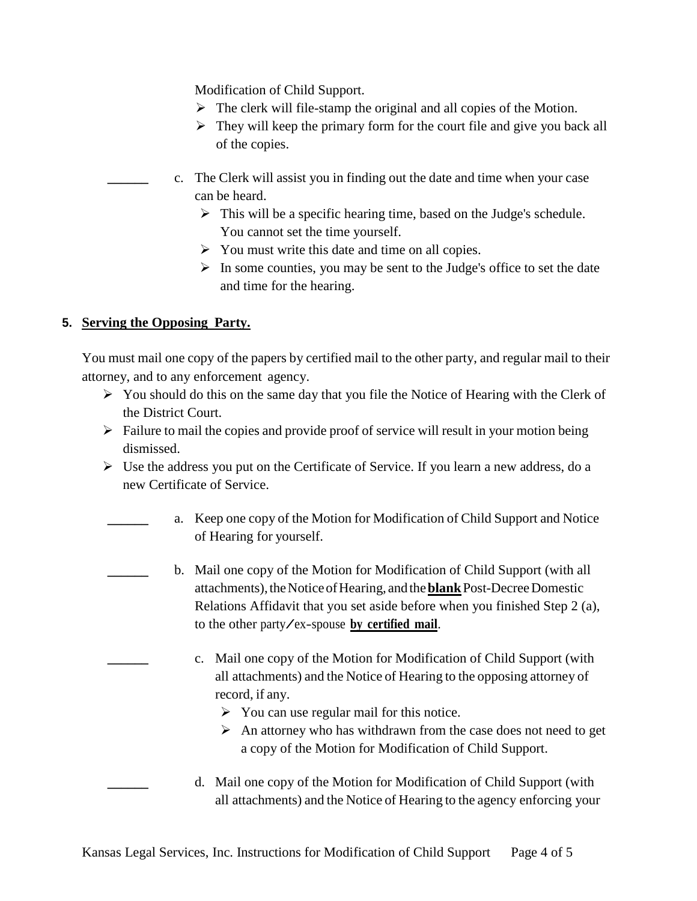Modification of Child Support.

- $\triangleright$  The clerk will file-stamp the original and all copies of the Motion.
- $\triangleright$  They will keep the primary form for the court file and give you back all of the copies.
- **\_\_\_\_\_\_** c. The Clerk will assist you in finding out the date and time when your case can be heard.
	- $\triangleright$  This will be a specific hearing time, based on the Judge's schedule. You cannot set the time yourself.
	- $\triangleright$  You must write this date and time on all copies.
	- $\triangleright$  In some counties, you may be sent to the Judge's office to set the date and time for the hearing.

## **5. Serving the Opposing Party.**

You must mail one copy of the papers by certified mail to the other party, and regular mail to their attorney, and to any enforcement agency.

- $\triangleright$  You should do this on the same day that you file the Notice of Hearing with the Clerk of the District Court.
- $\triangleright$  Failure to mail the copies and provide proof of service will result in your motion being dismissed.
- $\triangleright$  Use the address you put on the Certificate of Service. If you learn a new address, do a new Certificate of Service.
	- **\_\_\_\_\_\_** a. Keep one copy of the Motion for Modification of Child Support and Notice of Hearing for yourself.
		- **\_\_\_\_\_\_** b. Mail one copy of the Motion for Modification of Child Support (with all attachments),theNoticeofHearing, andthe**blank**Post-DecreeDomestic Relations Affidavit that you set aside before when you finished Step 2 (a), to the other party/ex-spouse **by certified mail**.
			- **\_\_\_\_\_\_** c. Mail one copy of the Motion for Modification of Child Support (with all attachments) and the Notice of Hearing to the opposing attorney of record, if any.
				- $\triangleright$  You can use regular mail for this notice.
				- $\triangleright$  An attorney who has withdrawn from the case does not need to get a copy of the Motion for Modification of Child Support.
			- **\_\_\_\_\_\_** d. Mail one copy of the Motion for Modification of Child Support (with all attachments) and the Notice of Hearing to the agency enforcing your